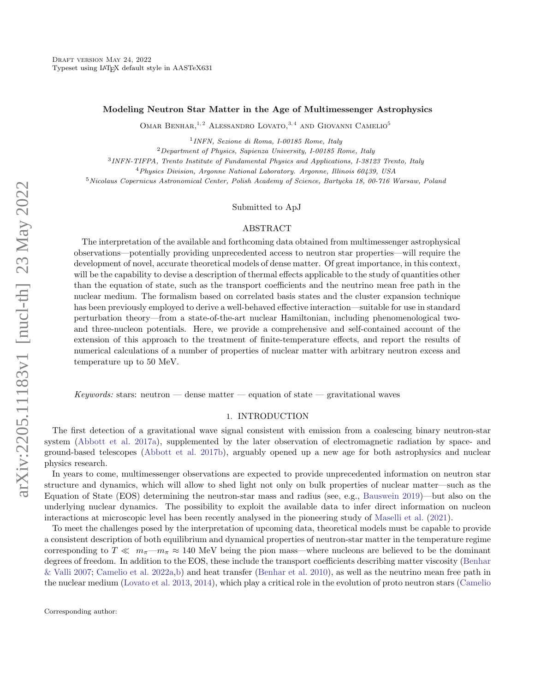# Modeling Neutron Star Matter in the Age of Multimessenger Astrophysics

OMAR BENHAR,  $1, 2$  ALESSANDRO LOVATO,  $3, 4$  AND GIOVANNI CAMELIO<sup>5</sup>

1 INFN, Sezione di Roma, I-00185 Rome, Italy

 $2$ Department of Physics, Sapienza University, I-00185 Rome, Italy

3 INFN-TIFPA, Trento Institute of Fundamental Physics and Applications, I-38123 Trento, Italy

<sup>4</sup>Physics Division, Argonne National Laboratory. Argonne, Illinois 60439, USA

<sup>5</sup>Nicolaus Copernicus Astronomical Center, Polish Academy of Science, Bartycka 18, 00-716 Warsaw, Poland

Submitted to ApJ

### ABSTRACT

The interpretation of the available and forthcoming data obtained from multimessenger astrophysical observations—potentially providing unprecedented access to neutron star properties—will require the development of novel, accurate theoretical models of dense matter. Of great importance, in this context, will be the capability to devise a description of thermal effects applicable to the study of quantities other than the equation of state, such as the transport coefficients and the neutrino mean free path in the nuclear medium. The formalism based on correlated basis states and the cluster expansion technique has been previously employed to derive a well-behaved effective interaction—suitable for use in standard perturbation theory—from a state-of-the-art nuclear Hamiltonian, including phenomenological twoand three-nucleon potentials. Here, we provide a comprehensive and self-contained account of the extension of this approach to the treatment of finite-temperature effects, and report the results of numerical calculations of a number of properties of nuclear matter with arbitrary neutron excess and temperature up to 50 MeV.

Keywords: stars: neutron — dense matter — equation of state — gravitational waves

### 1. INTRODUCTION

The first detection of a gravitational wave signal consistent with emission from a coalescing binary neutron-star system [\(Abbott et al.](#page-18-0) [2017a\)](#page-18-0), supplemented by the later observation of electromagnetic radiation by space- and ground-based telescopes [\(Abbott et al.](#page-18-1) [2017b\)](#page-18-1), arguably opened up a new age for both astrophysics and nuclear physics research.

In years to come, multimessenger observations are expected to provide unprecedented information on neutron star structure and dynamics, which will allow to shed light not only on bulk properties of nuclear matter—such as the Equation of State (EOS) determining the neutron-star mass and radius (see, e.g., [Bauswein](#page-18-2) [2019\)](#page-18-2)—but also on the underlying nuclear dynamics. The possibility to exploit the available data to infer direct information on nucleon interactions at microscopic level has been recently analysed in the pioneering study of [Maselli et al.](#page-19-0) [\(2021\)](#page-19-0).

To meet the challenges posed by the interpretation of upcoming data, theoretical models must be capable to provide a consistent description of both equilibrium and dynamical properties of neutron-star matter in the temperature regime corresponding to  $T \ll m_{\pi} - m_{\pi} \approx 140$  MeV being the pion mass—where nucleons are believed to be the dominant degrees of freedom. In addition to the EOS, these include the transport coefficients describing matter viscosity [\(Benhar](#page-18-3) [& Valli](#page-18-3) [2007;](#page-18-3) [Camelio et al.](#page-18-4) [2022a,](#page-18-4)[b\)](#page-18-5) and heat transfer [\(Benhar et al.](#page-18-6) [2010\)](#page-18-6), as well as the neutrino mean free path in the nuclear medium [\(Lovato et al.](#page-19-1) [2013,](#page-19-1) [2014\)](#page-19-2), which play a critical role in the evolution of proto neutron stars [\(Camelio](#page-18-7)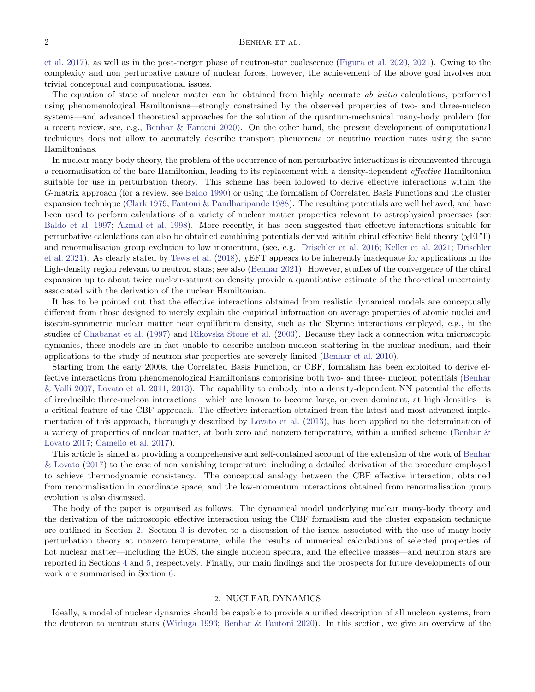[et al.](#page-18-7) [2017\)](#page-18-7), as well as in the post-merger phase of neutron-star coalescence [\(Figura et al.](#page-18-8) [2020,](#page-18-8) [2021\)](#page-18-9). Owing to the complexity and non perturbative nature of nuclear forces, however, the achievement of the above goal involves non trivial conceptual and computational issues.

The equation of state of nuclear matter can be obtained from highly accurate ab initio calculations, performed using phenomenological Hamiltonians—strongly constrained by the observed properties of two- and three-nucleon systems—and advanced theoretical approaches for the solution of the quantum-mechanical many-body problem (for a recent review, see, e.g., [Benhar & Fantoni](#page-18-10) [2020\)](#page-18-10). On the other hand, the present development of computational techniques does not allow to accurately describe transport phenomena or neutrino reaction rates using the same Hamiltonians.

In nuclear many-body theory, the problem of the occurrence of non perturbative interactions is circumvented through a renormalisation of the bare Hamiltonian, leading to its replacement with a density-dependent effective Hamiltonian suitable for use in perturbation theory. This scheme has been followed to derive effective interactions within the G-matrix approach (for a review, see [Baldo](#page-18-11) [1990\)](#page-18-11) or using the formalism of Correlated Basis Functions and the cluster expansion technique [\(Clark](#page-18-12) [1979;](#page-18-12) [Fantoni & Pandharipande](#page-18-13) [1988\)](#page-18-13). The resulting potentials are well behaved, and have been used to perform calculations of a variety of nuclear matter properties relevant to astrophysical processes (see [Baldo et al.](#page-18-14) [1997;](#page-18-14) [Akmal et al.](#page-18-15) [1998\)](#page-18-15). More recently, it has been suggested that effective interactions suitable for perturbative calculations can also be obtained combining potentials derived within chiral effective field theory ( $\chi EFT$ ) and renormalisation group evolution to low momentum, (see, e.g., [Drischler et al.](#page-18-16) [2016;](#page-18-16) [Keller et al.](#page-18-17) [2021;](#page-18-17) [Drischler](#page-18-18) [et al.](#page-18-18) [2021\)](#page-18-18). As clearly stated by [Tews et al.](#page-19-3) [\(2018\)](#page-19-3),  $\chi$ EFT appears to be inherently inadequate for applications in the high-density region relevant to neutron stars; see also [\(Benhar](#page-18-19) [2021\)](#page-18-19). However, studies of the convergence of the chiral expansion up to about twice nuclear-saturation density provide a quantitative estimate of the theoretical uncertainty associated with the derivation of the nuclear Hamiltonian.

It has to be pointed out that the effective interactions obtained from realistic dynamical models are conceptually different from those designed to merely explain the empirical information on average properties of atomic nuclei and isospin-symmetric nuclear matter near equilibrium density, such as the Skyrme interactions employed, e.g., in the studies of [Chabanat et al.](#page-18-20) [\(1997\)](#page-18-20) and [Rikovska Stone et al.](#page-19-4) [\(2003\)](#page-19-4). Because they lack a connection with microscopic dynamics, these models are in fact unable to describe nucleon-nucleon scattering in the nuclear medium, and their applications to the study of neutron star properties are severely limited [\(Benhar et al.](#page-18-6) [2010\)](#page-18-6).

Starting from the early 2000s, the Correlated Basis Function, or CBF, formalism has been exploited to derive effective interactions from phenomenological Hamiltonians comprising both two- and three- nucleon potentials [\(Benhar](#page-18-3) [& Valli](#page-18-3) [2007;](#page-18-3) [Lovato et al.](#page-18-21) [2011,](#page-18-21) [2013\)](#page-19-1). The capability to embody into a density-dependent NN potential the effects of irreducible three-nucleon interactions—which are known to become large, or even dominant, at high densities—is a critical feature of the CBF approach. The effective interaction obtained from the latest and most advanced implementation of this approach, thoroughly described by [Lovato et al.](#page-19-1) [\(2013\)](#page-19-1), has been applied to the determination of a variety of properties of nuclear matter, at both zero and nonzero temperature, within a unified scheme [\(Benhar &](#page-18-22) [Lovato](#page-18-22) [2017;](#page-18-22) [Camelio et al.](#page-18-7) [2017\)](#page-18-7).

This article is aimed at providing a comprehensive and self-contained account of the extension of the work of [Benhar](#page-18-22) [& Lovato](#page-18-22) [\(2017\)](#page-18-22) to the case of non vanishing temperature, including a detailed derivation of the procedure employed to achieve thermodynamic consistency. The conceptual analogy between the CBF effective interaction, obtained from renormalisation in coordinate space, and the low-momentum interactions obtained from renormalisation group evolution is also discussed.

The body of the paper is organised as follows. The dynamical model underlying nuclear many-body theory and the derivation of the microscopic effective interaction using the CBF formalism and the cluster expansion technique are outlined in Section [2.](#page-1-0) Section [3](#page-7-0) is devoted to a discussion of the issues associated with the use of many-body perturbation theory at nonzero temperature, while the results of numerical calculations of selected properties of hot nuclear matter—including the EOS, the single nucleon spectra, and the effective masses—and neutron stars are reported in Sections [4](#page-10-0) and [5,](#page-14-0) respectively. Finally, our main findings and the prospects for future developments of our work are summarised in Section [6.](#page-16-0)

#### 2. NUCLEAR DYNAMICS

<span id="page-1-0"></span>Ideally, a model of nuclear dynamics should be capable to provide a unified description of all nucleon systems, from the deuteron to neutron stars [\(Wiringa](#page-19-5) [1993;](#page-19-5) [Benhar & Fantoni](#page-18-10) [2020\)](#page-18-10). In this section, we give an overview of the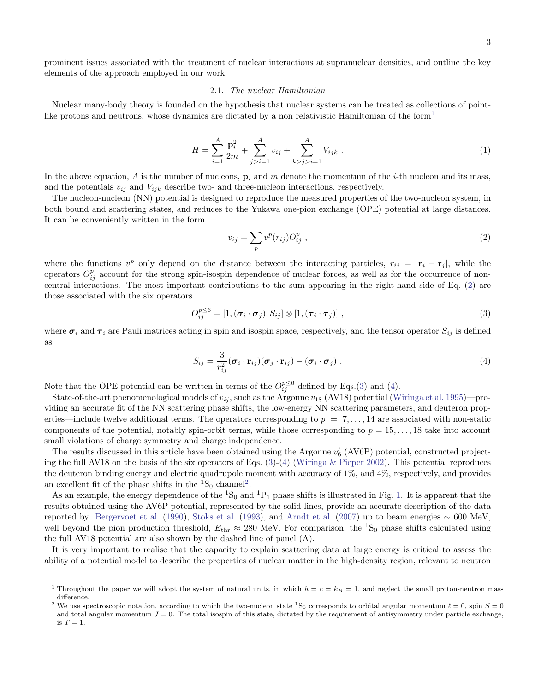<span id="page-2-5"></span><span id="page-2-1"></span>3

prominent issues associated with the treatment of nuclear interactions at supranuclear densities, and outline the key elements of the approach employed in our work.

# 2.1. The nuclear Hamiltonian

<span id="page-2-6"></span>Nuclear many-body theory is founded on the hypothesis that nuclear systems can be treated as collections of point-like protons and neutrons, whose dynamics are dictated by a non relativistic Hamiltonian of the form<sup>[1](#page-2-0)</sup>

$$
H = \sum_{i=1}^{A} \frac{\mathbf{p}_i^2}{2m} + \sum_{j>i=1}^{A} v_{ij} + \sum_{k>j>i=1}^{A} V_{ijk} .
$$
 (1)

In the above equation, A is the number of nucleons,  $\mathbf{p}_i$  and m denote the momentum of the *i*-th nucleon and its mass, and the potentials  $v_{ij}$  and  $V_{ijk}$  describe two- and three-nucleon interactions, respectively.

The nucleon-nucleon (NN) potential is designed to reproduce the measured properties of the two-nucleon system, in both bound and scattering states, and reduces to the Yukawa one-pion exchange (OPE) potential at large distances. It can be conveniently written in the form

<span id="page-2-3"></span><span id="page-2-2"></span>
$$
v_{ij} = \sum_p v^p(r_{ij}) O_{ij}^p \t\t(2)
$$

where the functions v<sup>p</sup> only depend on the distance between the interacting particles,  $r_{ij} = |\mathbf{r}_i - \mathbf{r}_j|$ , while the operators  $O_{ij}^p$  account for the strong spin-isospin dependence of nuclear forces, as well as for the occurrence of noncentral interactions. The most important contributions to the sum appearing in the right-hand side of Eq. [\(2\)](#page-2-1) are those associated with the six operators

$$
O_{ij}^{p \leq 6} = [1, (\boldsymbol{\sigma}_i \cdot \boldsymbol{\sigma}_j), S_{ij}] \otimes [1, (\boldsymbol{\tau}_i \cdot \boldsymbol{\tau}_j)], \qquad (3)
$$

where  $\sigma_i$  and  $\tau_i$  are Pauli matrices acting in spin and isospin space, respectively, and the tensor operator  $S_{ij}$  is defined as

$$
S_{ij} = \frac{3}{r_{ij}^2} (\boldsymbol{\sigma}_i \cdot \mathbf{r}_{ij}) (\boldsymbol{\sigma}_j \cdot \mathbf{r}_{ij}) - (\boldsymbol{\sigma}_i \cdot \boldsymbol{\sigma}_j) . \tag{4}
$$

Note that the OPE potential can be written in terms of the  $O_{ij}^{p \leq 6}$  defined by Eqs.[\(3\)](#page-2-2) and [\(4\)](#page-2-3).

State-of-the-art phenomenological models of  $v_{ij}$ , such as the Argonne  $v_{18}$  (AV18) potential [\(Wiringa et al.](#page-19-6) [1995\)](#page-19-6)—providing an accurate fit of the NN scattering phase shifts, the low-energy NN scattering parameters, and deuteron properties—include twelve additional terms. The operators corresponding to  $p = 7, \ldots, 14$  are associated with non-static components of the potential, notably spin-orbit terms, while those corresponding to  $p = 15, \ldots, 18$  take into account small violations of charge symmetry and charge independence.

The results discussed in this article have been obtained using the Argonne  $v'_6$  (AV6P) potential, constructed projecting the full AV18 on the basis of the six operators of Eqs.  $(3)-(4)$  $(3)-(4)$  $(3)-(4)$  [\(Wiringa & Pieper](#page-19-7) [2002\)](#page-19-7). This potential reproduces the deuteron binding energy and electric quadrupole moment with accuracy of 1%, and 4%, respectively, and provides an excellent fit of the phase shifts in the  ${}^{1}S_{0}$  channel<sup>[2](#page-2-4)</sup>.

As an example, the energy dependence of the  ${}^{1}S_{0}$  and  ${}^{1}P_{1}$  phase shifts is illustrated in Fig. [1.](#page-3-0) It is apparent that the results obtained using the AV6P potential, represented by the solid lines, provide an accurate description of the data reported by [Bergervoet et al.](#page-18-23) [\(1990\)](#page-18-23), [Stoks et al.](#page-19-8) [\(1993\)](#page-19-8), and [Arndt et al.](#page-18-24) [\(2007\)](#page-18-24) up to beam energies  $\sim 600$  MeV, well beyond the pion production threshold,  $E_{\text{thr}} \approx 280$  MeV. For comparison, the <sup>1</sup>S<sub>0</sub> phase shifts calculated using the full AV18 potential are also shown by the dashed line of panel (A).

It is very important to realise that the capacity to explain scattering data at large energy is critical to assess the ability of a potential model to describe the properties of nuclear matter in the high-density region, relevant to neutron

<span id="page-2-0"></span><sup>&</sup>lt;sup>1</sup> Throughout the paper we will adopt the system of natural units, in which  $\hbar = c = k_B = 1$ , and neglect the small proton-neutron mass difference.

<span id="page-2-4"></span><sup>&</sup>lt;sup>2</sup> We use spectroscopic notation, according to which the two-nucleon state <sup>1</sup>S<sub>0</sub> corresponds to orbital angular momentum  $\ell = 0$ , spin  $S = 0$ and total angular momentum  $J = 0$ . The total isospin of this state, dictated by the requirement of antisymmetry under particle exchange, is  $T = 1$ .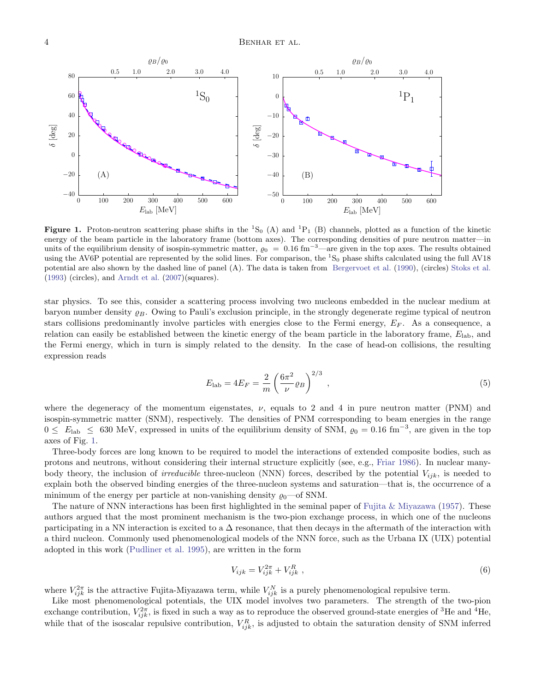

<span id="page-3-0"></span>**Figure 1.** Proton-neutron scattering phase shifts in the  ${}^{1}S_{0}$  (A) and  ${}^{1}P_{1}$  (B) channels, plotted as a function of the kinetic energy of the beam particle in the laboratory frame (bottom axes). The corresponding densities of pure neutron matter—in units of the equilibrium density of isospin-symmetric matter,  $\varrho_0 = 0.16 \text{ fm}^{-3}$ —are given in the top axes. The results obtained using the AV6P potential are represented by the solid lines. For comparison, the  ${}^{1}S_{0}$  phase shifts calculated using the full AV18 potential are also shown by the dashed line of panel (A). The data is taken from [Bergervoet et al.](#page-18-23) [\(1990\)](#page-18-23), (circles) [Stoks et al.](#page-19-8) [\(1993\)](#page-19-8) (circles), and [Arndt et al.](#page-18-24) [\(2007\)](#page-18-24)(squares).

star physics. To see this, consider a scattering process involving two nucleons embedded in the nuclear medium at baryon number density  $\varrho_B$ . Owing to Pauli's exclusion principle, in the strongly degenerate regime typical of neutron stars collisions predominantly involve particles with energies close to the Fermi energy,  $E_F$ . As a consequence, a relation can easily be established between the kinetic energy of the beam particle in the laboratory frame,  $E_{\rm lab}$ , and the Fermi energy, which in turn is simply related to the density. In the case of head-on collisions, the resulting expression reads

$$
E_{\rm lab} = 4E_F = \frac{2}{m} \left( \frac{6\pi^2}{\nu} \rho_B \right)^{2/3} \,, \tag{5}
$$

where the degeneracy of the momentum eigenstates,  $\nu$ , equals to 2 and 4 in pure neutron matter (PNM) and isospin-symmetric matter (SNM), respectively. The densities of PNM corresponding to beam energies in the range  $0 \le E_{\text{lab}} \le 630 \text{ MeV}$ , expressed in units of the equilibrium density of SNM,  $\varrho_0 = 0.16 \text{ fm}^{-3}$ , are given in the top axes of Fig. [1.](#page-3-0)

Three-body forces are long known to be required to model the interactions of extended composite bodies, such as protons and neutrons, without considering their internal structure explicitly (see, e.g., [Friar](#page-18-25) [1986\)](#page-18-25). In nuclear manybody theory, the inclusion of *irreducible* three-nucleon (NNN) forces, described by the potential  $V_{ijk}$ , is needed to explain both the observed binding energies of the three-nucleon systems and saturation—that is, the occurrence of a minimum of the energy per particle at non-vanishing density  $\varrho_0$ —of SNM.

The nature of NNN interactions has been first highlighted in the seminal paper of [Fujita & Miyazawa](#page-18-26) [\(1957\)](#page-18-26). These authors argued that the most prominent mechanism is the two-pion exchange process, in which one of the nucleons participating in a NN interaction is excited to a  $\Delta$  resonance, that then decays in the aftermath of the interaction with a third nucleon. Commonly used phenomenological models of the NNN force, such as the Urbana IX (UIX) potential adopted in this work [\(Pudliner et al.](#page-19-9) [1995\)](#page-19-9), are written in the form

$$
V_{ijk} = V_{ijk}^{2\pi} + V_{ijk}^R \t\t(6)
$$

where  $V_{ijk}^{2\pi}$  is the attractive Fujita-Miyazawa term, while  $V_{ijk}^{N}$  is a purely phenomenological repulsive term.

Like most phenomenological potentials, the UIX model involves two parameters. The strength of the two-pion exchange contribution,  $V_{ijk}^{2\pi}$ , is fixed in such a way as to reproduce the observed ground-state energies of <sup>3</sup>He and <sup>4</sup>He, while that of the isoscalar repulsive contribution,  $V_{ijk}^R$ , is adjusted to obtain the saturation density of SNM inferred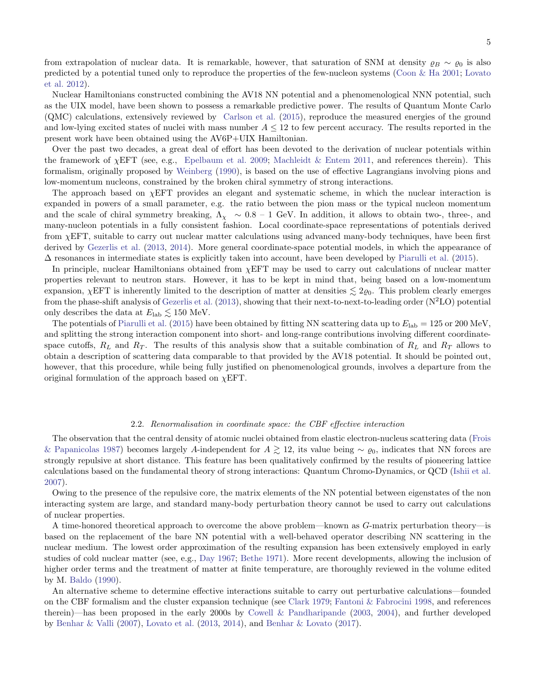from extrapolation of nuclear data. It is remarkable, however, that saturation of SNM at density  $\varrho_B \sim \varrho_0$  is also predicted by a potential tuned only to reproduce the properties of the few-nucleon systems [\(Coon & Ha](#page-18-27) [2001;](#page-18-27) [Lovato](#page-18-28) [et al.](#page-18-28) [2012\)](#page-18-28).

Nuclear Hamiltonians constructed combining the AV18 NN potential and a phenomenological NNN potential, such as the UIX model, have been shown to possess a remarkable predictive power. The results of Quantum Monte Carlo (QMC) calculations, extensively reviewed by [Carlson et al.](#page-18-29) [\(2015\)](#page-18-29), reproduce the measured energies of the ground and low-lying excited states of nuclei with mass number  $A \leq 12$  to few percent accuracy. The results reported in the present work have been obtained using the AV6P+UIX Hamiltonian.

Over the past two decades, a great deal of effort has been devoted to the derivation of nuclear potentials within the framework of  $\chi$ EFT (see, e.g., [Epelbaum et al.](#page-18-30) [2009;](#page-18-30) [Machleidt & Entem](#page-19-10) [2011,](#page-19-10) and references therein). This formalism, originally proposed by [Weinberg](#page-19-11) [\(1990\)](#page-19-11), is based on the use of effective Lagrangians involving pions and low-momentum nucleons, constrained by the broken chiral symmetry of strong interactions.

The approach based on  $\chi$ EFT provides an elegant and systematic scheme, in which the nuclear interaction is expanded in powers of a small parameter, e.g. the ratio between the pion mass or the typical nucleon momentum and the scale of chiral symmetry breaking,  $\Lambda_{\chi} \sim 0.8 - 1$  GeV. In addition, it allows to obtain two-, three-, and many-nucleon potentials in a fully consistent fashion. Local coordinate-space representations of potentials derived from χEFT, suitable to carry out nuclear matter calculations using advanced many-body techniques, have been first derived by [Gezerlis et al.](#page-18-31) [\(2013,](#page-18-31) [2014\)](#page-18-32). More general coordinate-space potential models, in which the appearance of  $\Delta$  resonances in intermediate states is explicitly taken into account, have been developed by [Piarulli et al.](#page-19-12) [\(2015\)](#page-19-12).

In principle, nuclear Hamiltonians obtained from  $\chi$ EFT may be used to carry out calculations of nuclear matter properties relevant to neutron stars. However, it has to be kept in mind that, being based on a low-momentum expansion,  $\chi$ EFT is inherently limited to the description of matter at densities  $\lesssim 2\varrho_0$ . This problem clearly emerges from the phase-shift analysis of [Gezerlis et al.](#page-18-31) [\(2013\)](#page-18-31), showing that their next-to-next-to-leading order  $(N^2LO)$  potential only describes the data at  $E_{\text{lab}} \lesssim 150 \text{ MeV}.$ 

The potentials of [Piarulli et al.](#page-19-12) [\(2015\)](#page-19-12) have been obtained by fitting NN scattering data up to  $E_{\rm lab} = 125$  or 200 MeV, and splitting the strong interaction component into short- and long-range contributions involving different coordinatespace cutoffs,  $R_L$  and  $R_T$ . The results of this analysis show that a suitable combination of  $R_L$  and  $R_T$  allows to obtain a description of scattering data comparable to that provided by the AV18 potential. It should be pointed out, however, that this procedure, while being fully justified on phenomenological grounds, involves a departure from the original formulation of the approach based on  $\chi$ EFT.

### 2.2. Renormalisation in coordinate space: the CBF effective interaction

<span id="page-4-0"></span>The observation that the central density of atomic nuclei obtained from elastic electron-nucleus scattering data [\(Frois](#page-18-33) [& Papanicolas](#page-18-33) [1987\)](#page-18-33) becomes largely A-independent for  $A \gtrsim 12$ , its value being ∼  $\varrho_0$ , indicates that NN forces are strongly repulsive at short distance. This feature has been qualitatively confirmed by the results of pioneering lattice calculations based on the fundamental theory of strong interactions: Quantum Chromo-Dynamics, or QCD [\(Ishii et al.](#page-18-34) [2007\)](#page-18-34).

Owing to the presence of the repulsive core, the matrix elements of the NN potential between eigenstates of the non interacting system are large, and standard many-body perturbation theory cannot be used to carry out calculations of nuclear properties.

A time-honored theoretical approach to overcome the above problem—known as G-matrix perturbation theory—is based on the replacement of the bare NN potential with a well-behaved operator describing NN scattering in the nuclear medium. The lowest order approximation of the resulting expansion has been extensively employed in early studies of cold nuclear matter (see, e.g., [Day](#page-18-35) [1967;](#page-18-35) [Bethe](#page-18-36) [1971\)](#page-18-36). More recent developments, allowing the inclusion of higher order terms and the treatment of matter at finite temperature, are thoroughly reviewed in the volume edited by M. [Baldo](#page-18-11) [\(1990\)](#page-18-11).

An alternative scheme to determine effective interactions suitable to carry out perturbative calculations—founded on the CBF formalism and the cluster expansion technique (see [Clark](#page-18-12) [1979;](#page-18-12) [Fantoni & Fabrocini](#page-18-37) [1998,](#page-18-37) and references therein)—has been proposed in the early 2000s by [Cowell & Pandharipande](#page-18-38) [\(2003,](#page-18-38) [2004\)](#page-18-39), and further developed by [Benhar & Valli](#page-18-3) [\(2007\)](#page-18-3), [Lovato et al.](#page-19-1) [\(2013,](#page-19-1) [2014\)](#page-19-2), and [Benhar & Lovato](#page-18-22) [\(2017\)](#page-18-22).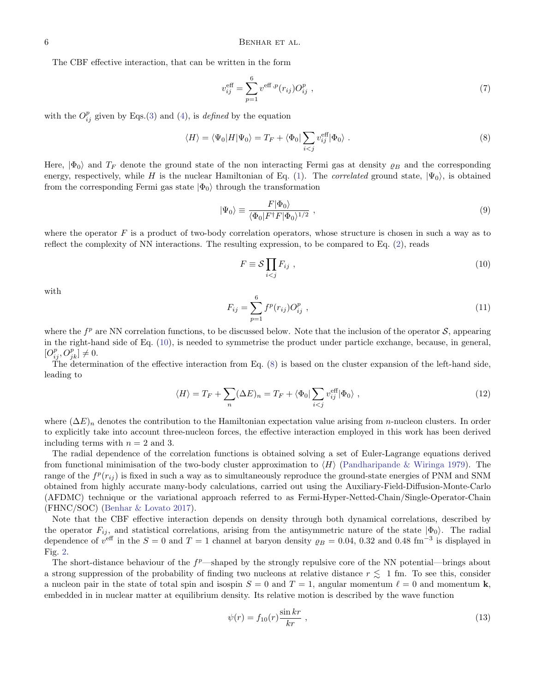The CBF effective interaction, that can be written in the form

<span id="page-5-1"></span>
$$
v_{ij}^{\text{eff}} = \sum_{p=1}^{6} v^{\text{eff},p}(r_{ij}) O_{ij}^p , \qquad (7)
$$

with the  $O_{ij}^p$  given by Eqs.[\(3\)](#page-2-2) and [\(4\)](#page-2-3), is *defined* by the equation

$$
\langle H \rangle = \langle \Psi_0 | H | \Psi_0 \rangle = T_F + \langle \Phi_0 | \sum_{i < j} v_{ij}^{\text{eff}} | \Phi_0 \rangle \tag{8}
$$

Here,  $|\Phi_0\rangle$  and  $T_F$  denote the ground state of the non interacting Fermi gas at density  $\rho_B$  and the corresponding energy, respectively, while H is the nuclear Hamiltonian of Eq. [\(1\)](#page-2-5). The *correlated* ground state,  $|\Psi_0\rangle$ , is obtained from the corresponding Fermi gas state  $|\Phi_0\rangle$  through the transformation

$$
|\Psi_0\rangle \equiv \frac{F|\Phi_0\rangle}{\langle \Phi_0|F^\dagger F|\Phi_0\rangle^{1/2}} \,, \tag{9}
$$

where the operator  $F$  is a product of two-body correlation operators, whose structure is chosen in such a way as to reflect the complexity of NN interactions. The resulting expression, to be compared to Eq. [\(2\)](#page-2-1), reads

<span id="page-5-0"></span>
$$
F \equiv \mathcal{S} \prod_{i < j} F_{ij} \tag{10}
$$

<span id="page-5-2"></span>with

$$
F_{ij} = \sum_{p=1}^{6} f^p(r_{ij}) O_{ij}^p , \qquad (11)
$$

where the  $f^p$  are NN correlation functions, to be discussed below. Note that the inclusion of the operator  $S$ , appearing in the right-hand side of Eq. [\(10\)](#page-5-0), is needed to symmetrise the product under particle exchange, because, in general,  $[O_{ij}^p, O_{jk}^p] \neq 0.$ 

The determination of the effective interaction from Eq. [\(8\)](#page-5-1) is based on the cluster expansion of the left-hand side, leading to

$$
\langle H \rangle = T_F + \sum_{n} (\Delta E)_n = T_F + \langle \Phi_0 | \sum_{i < j} v_{ij}^{\text{eff}} | \Phi_0 \rangle \tag{12}
$$

where  $(\Delta E)_n$  denotes the contribution to the Hamiltonian expectation value arising from *n*-nucleon clusters. In order to explicitly take into account three-nucleon forces, the effective interaction employed in this work has been derived including terms with  $n = 2$  and 3.

The radial dependence of the correlation functions is obtained solving a set of Euler-Lagrange equations derived from functional minimisation of the two-body cluster approximation to  $\langle H \rangle$  [\(Pandharipande & Wiringa](#page-19-13) [1979\)](#page-19-13). The range of the  $f^p(r_{ij})$  is fixed in such a way as to simultaneously reproduce the ground-state energies of PNM and SNM obtained from highly accurate many-body calculations, carried out using the Auxiliary-Field-Diffusion-Monte-Carlo (AFDMC) technique or the variational approach referred to as Fermi-Hyper-Netted-Chain/Single-Operator-Chain (FHNC/SOC) [\(Benhar & Lovato](#page-18-22) [2017\)](#page-18-22).

Note that the CBF effective interaction depends on density through both dynamical correlations, described by the operator  $F_{ij}$ , and statistical correlations, arising from the antisymmetric nature of the state  $|\Phi_0\rangle$ . The radial dependence of  $v^{\text{eff}}$  in the  $S = 0$  and  $T = 1$  channel at baryon density  $\varrho_B = 0.04, 0.32$  and  $0.48 \text{ fm}^{-3}$  is displayed in Fig. [2.](#page-6-0)

The short-distance behaviour of the  $f^p$ —shaped by the strongly repulsive core of the NN potential—brings about a strong suppression of the probability of finding two nucleons at relative distance  $r \lesssim 1$  fm. To see this, consider a nucleon pair in the state of total spin and isospin  $S = 0$  and  $T = 1$ , angular momentum  $\ell = 0$  and momentum k, embedded in in nuclear matter at equilibrium density. Its relative motion is described by the wave function

<span id="page-5-3"></span>
$$
\psi(r) = f_{10}(r) \frac{\sin kr}{kr} , \qquad (13)
$$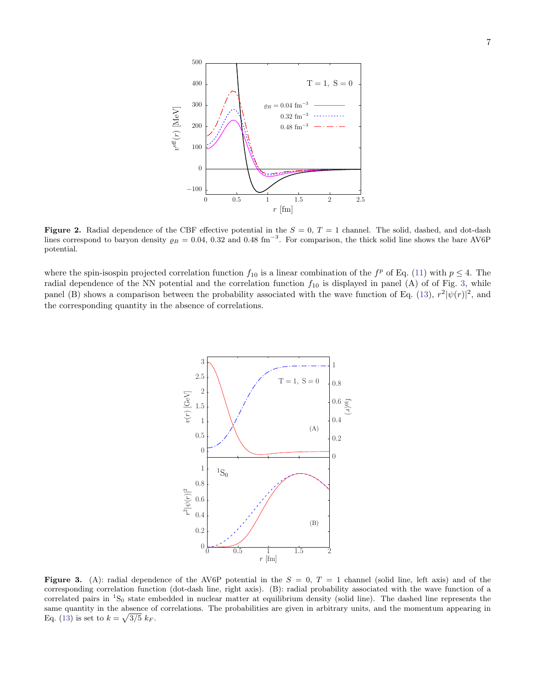

<span id="page-6-0"></span>Figure 2. Radial dependence of the CBF effective potential in the  $S = 0$ ,  $T = 1$  channel. The solid, dashed, and dot-dash lines correspond to baryon density  $\varrho_B = 0.04, 0.32$  and 0.48 fm<sup>-3</sup>. For comparison, the thick solid line shows the bare AV6P potential.

where the spin-isospin projected correlation function  $f_{10}$  is a linear combination of the  $f^p$  of Eq. [\(11\)](#page-5-2) with  $p \leq 4$ . The radial dependence of the NN potential and the correlation function  $f_{10}$  is displayed in panel (A) of of Fig. [3,](#page-6-1) while panel (B) shows a comparison between the probability associated with the wave function of Eq. [\(13\)](#page-5-3),  $r^2|\psi(r)|^2$ , and the corresponding quantity in the absence of correlations.



<span id="page-6-1"></span>Figure 3. (A): radial dependence of the AV6P potential in the  $S = 0$ ,  $T = 1$  channel (solid line, left axis) and of the corresponding correlation function (dot-dash line, right axis). (B): radial probability associated with the wave function of a correlated pairs in  ${}^{1}S_{0}$  state embedded in nuclear matter at equilibrium density (solid line). The dashed line represents the same quantity in the absence of correlations. The probabilities are given in arbitrary units, and the momentum appearing in Eq. [\(13\)](#page-5-3) is set to  $k = \sqrt{3/5} k_F$ .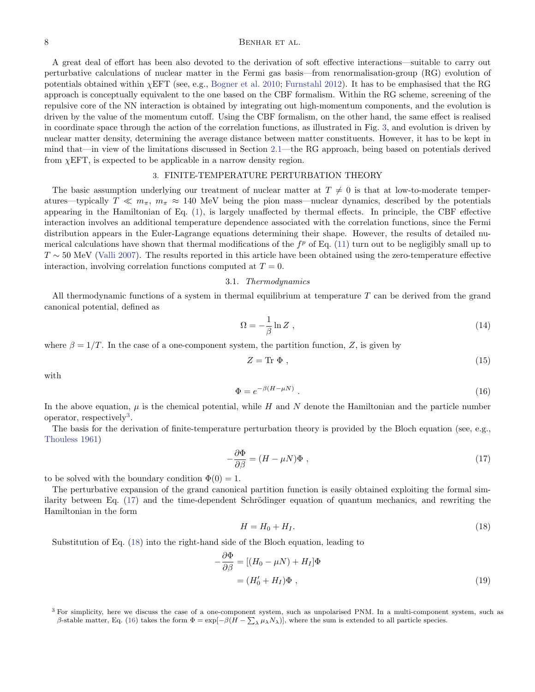## 8 BENHAR ET AL.

A great deal of effort has been also devoted to the derivation of soft effective interactions—suitable to carry out perturbative calculations of nuclear matter in the Fermi gas basis—from renormalisation-group (RG) evolution of potentials obtained within  $\chi$ EFT (see, e.g., [Bogner et al.](#page-18-40) [2010;](#page-18-40) [Furnstahl](#page-18-41) [2012\)](#page-18-41). It has to be emphasised that the RG approach is conceptually equivalent to the one based on the CBF formalism. Within the RG scheme, screening of the repulsive core of the NN interaction is obtained by integrating out high-momentum components, and the evolution is driven by the value of the momentum cutoff. Using the CBF formalism, on the other hand, the same effect is realised in coordinate space through the action of the correlation functions, as illustrated in Fig. [3,](#page-6-1) and evolution is driven by nuclear matter density, determining the average distance between matter constituents. However, it has to be kept in mind that—in view of the limitations discussed in Section [2.1—](#page-2-6)the RG approach, being based on potentials derived from  $\chi$ EFT, is expected to be applicable in a narrow density region.

# 3. FINITE-TEMPERATURE PERTURBATION THEORY

<span id="page-7-0"></span>The basic assumption underlying our treatment of nuclear matter at  $T \neq 0$  is that at low-to-moderate temperatures—typically  $T \ll m_{\pi}$ ,  $m_{\pi} \approx 140$  MeV being the pion mass—nuclear dynamics, described by the potentials appearing in the Hamiltonian of Eq. [\(1\)](#page-2-5), is largely unaffected by thermal effects. In principle, the CBF effective interaction involves an additional temperature dependence associated with the correlation functions, since the Fermi distribution appears in the Euler-Lagrange equations determining their shape. However, the results of detailed numerical calculations have shown that thermal modifications of the  $f^p$  of Eq. [\(11\)](#page-5-2) turn out to be negligibly small up to  $T \sim 50$  MeV [\(Valli](#page-19-14) [2007\)](#page-19-14). The results reported in this article have been obtained using the zero-temperature effective interaction, involving correlation functions computed at  $T = 0$ .

#### 3.1. Thermodynamics

<span id="page-7-5"></span>All thermodynamic functions of a system in thermal equilibrium at temperature  $T$  can be derived from the grand canonical potential, defined as

$$
\Omega = -\frac{1}{\beta} \ln Z \tag{14}
$$

where  $\beta = 1/T$ . In the case of a one-component system, the partition function, Z, is given by

<span id="page-7-4"></span><span id="page-7-2"></span>
$$
Z = \text{Tr } \Phi , \qquad (15)
$$

with

$$
\Phi = e^{-\beta (H - \mu N)} \tag{16}
$$

In the above equation,  $\mu$  is the chemical potential, while H and N denote the Hamiltonian and the particle number operator, respectively<sup>[3](#page-7-1)</sup>.

The basis for the derivation of finite-temperature perturbation theory is provided by the Bloch equation (see, e.g., [Thouless](#page-19-15) [1961\)](#page-19-15)

$$
-\frac{\partial \Phi}{\partial \beta} = (H - \mu N)\Phi , \qquad (17)
$$

to be solved with the boundary condition  $\Phi(0) = 1$ .

The perturbative expansion of the grand canonical partition function is easily obtained exploiting the formal similarity between Eq.  $(17)$  and the time-dependent Schrödinger equation of quantum mechanics, and rewriting the Hamiltonian in the form

<span id="page-7-3"></span>
$$
H = H_0 + H_I. \tag{18}
$$

Substitution of Eq. [\(18\)](#page-7-3) into the right-hand side of the Bloch equation, leading to

$$
-\frac{\partial \Phi}{\partial \beta} = [(H_0 - \mu N) + H_I] \Phi
$$
  
=  $(H'_0 + H_I) \Phi$ , (19)

<span id="page-7-1"></span> $3$  For simplicity, here we discuss the case of a one-component system, such as unpolarised PNM. In a multi-component system, such as β-stable matter, Eq. [\(16\)](#page-7-4) takes the form  $\Phi = \exp[-\beta(H - \sum_{\lambda} \mu_{\lambda} N_{\lambda})]$ , where the sum is extended to all particle species.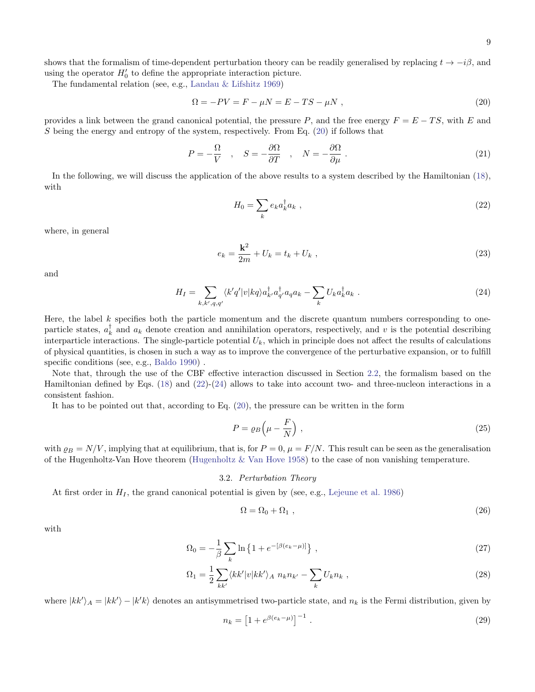shows that the formalism of time-dependent perturbation theory can be readily generalised by replacing  $t \to -i\beta$ , and using the operator  $H_0'$  to define the appropriate interaction picture.

The fundamental relation (see, e.g., [Landau & Lifshitz](#page-18-42) [1969\)](#page-18-42)

$$
\Omega = -PV = F - \mu N = E - TS - \mu N \tag{20}
$$

provides a link between the grand canonical potential, the pressure P, and the free energy  $F = E - TS$ , with E and S being the energy and entropy of the system, respectively. From Eq.  $(20)$  if follows that

$$
P = -\frac{\Omega}{V} \quad , \quad S = -\frac{\partial \Omega}{\partial T} \quad , \quad N = -\frac{\partial \Omega}{\partial \mu} \ . \tag{21}
$$

In the following, we will discuss the application of the above results to a system described by the Hamiltonian [\(18\)](#page-7-3), with

<span id="page-8-2"></span><span id="page-8-1"></span><span id="page-8-0"></span>
$$
H_0 = \sum_k e_k a_k^{\dagger} a_k \tag{22}
$$

where, in general

$$
e_k = \frac{\mathbf{k}^2}{2m} + U_k = t_k + U_k \tag{23}
$$

and

$$
H_I = \sum_{k,k',q,q'} \langle k'q'|v|kq\rangle a_{k'}^\dagger a_{q'}^\dagger a_q a_k - \sum_k U_k a_k^\dagger a_k . \tag{24}
$$

Here, the label  $k$  specifies both the particle momentum and the discrete quantum numbers corresponding to oneparticle states,  $a_k^{\dagger}$  and  $a_k$  denote creation and annihilation operators, respectively, and v is the potential describing interparticle interactions. The single-particle potential  $U_k$ , which in principle does not affect the results of calculations of physical quantities, is chosen in such a way as to improve the convergence of the perturbative expansion, or to fulfill specific conditions (see, e.g., [Baldo](#page-18-11) [1990\)](#page-18-11) .

Note that, through the use of the CBF effective interaction discussed in Section [2.2,](#page-4-0) the formalism based on the Hamiltonian defined by Eqs. [\(18\)](#page-7-3) and [\(22\)](#page-8-1)-[\(24\)](#page-8-2) allows to take into account two- and three-nucleon interactions in a consistent fashion.

It has to be pointed out that, according to Eq. [\(20\)](#page-8-0), the pressure can be written in the form

<span id="page-8-5"></span>
$$
P = \varrho_B \left( \mu - \frac{F}{N} \right) \,, \tag{25}
$$

with  $\rho_B = N/V$ , implying that at equilibrium, that is, for  $P = 0$ ,  $\mu = F/N$ . This result can be seen as the generalisation of the Hugenholtz-Van Hove theorem [\(Hugenholtz & Van Hove](#page-18-43) [1958\)](#page-18-43) to the case of non vanishing temperature.

### 3.2. Perturbation Theory

<span id="page-8-6"></span>At first order in  $H_I$ , the grand canonical potential is given by (see, e.g., [Lejeune et al.](#page-18-44) [1986\)](#page-18-44)

<span id="page-8-4"></span><span id="page-8-3"></span>
$$
\Omega = \Omega_0 + \Omega_1 \tag{26}
$$

with

$$
\Omega_0 = -\frac{1}{\beta} \sum_{k} \ln \left\{ 1 + e^{-\left[\beta (e_k - \mu)\right]} \right\},\tag{27}
$$

$$
\Omega_1 = \frac{1}{2} \sum_{kk'} \langle kk'|v|kk'\rangle_A n_k n_{k'} - \sum_k U_k n_k , \qquad (28)
$$

where  $|kk'\rangle_A = |kk'\rangle - |k'k\rangle$  denotes an antisymmetrised two-particle state, and  $n_k$  is the Fermi distribution, given by

$$
n_k = \left[1 + e^{\beta(e_k - \mu)}\right]^{-1} \,. \tag{29}
$$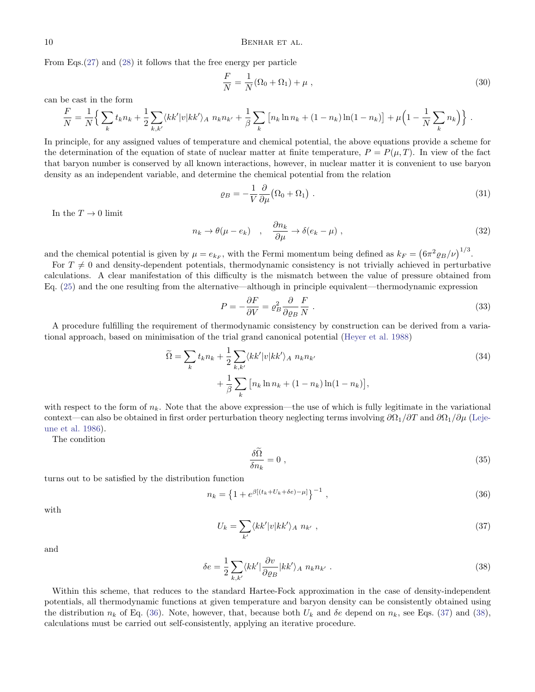From Eqs.[\(27\)](#page-8-3) and [\(28\)](#page-8-4) it follows that the free energy per particle

$$
\frac{F}{N} = \frac{1}{N}(\Omega_0 + \Omega_1) + \mu \tag{30}
$$

can be cast in the form

$$
\frac{F}{N} = \frac{1}{N} \Big\{ \sum_{k} t_k n_k + \frac{1}{2} \sum_{k,k'} \langle k k' | v | k k' \rangle_A n_k n_{k'} + \frac{1}{\beta} \sum_{k} \left[ n_k \ln n_k + (1 - n_k) \ln(1 - n_k) \right] + \mu \Big( 1 - \frac{1}{N} \sum_{k} n_k \Big) \Big\} .
$$

In principle, for any assigned values of temperature and chemical potential, the above equations provide a scheme for the determination of the equation of state of nuclear matter at finite temperature,  $P = P(\mu, T)$ . In view of the fact that baryon number is conserved by all known interactions, however, in nuclear matter it is convenient to use baryon density as an independent variable, and determine the chemical potential from the relation

$$
\varrho_B = -\frac{1}{V} \frac{\partial}{\partial \mu} (\Omega_0 + \Omega_1) \tag{31}
$$

In the  $T \to 0$  limit

$$
n_k \to \theta(\mu - e_k) \quad , \quad \frac{\partial n_k}{\partial \mu} \to \delta(e_k - \mu) \quad , \tag{32}
$$

and the chemical potential is given by  $\mu = e_{k_F}$ , with the Fermi momentum being defined as  $k_F = (6\pi^2 \varrho_B/\nu)^{1/3}$ .

For  $T \neq 0$  and density-dependent potentials, thermodynamic consistency is not trivially achieved in perturbative calculations. A clear manifestation of this difficulty is the mismatch between the value of pressure obtained from Eq. [\(25\)](#page-8-5) and the one resulting from the alternative—although in principle equivalent—thermodynamic expression

$$
P = -\frac{\partial F}{\partial V} = \rho_B^2 \frac{\partial}{\partial \varrho_B} \frac{F}{N} \,. \tag{33}
$$

A procedure fulfilling the requirement of thermodynamic consistency by construction can be derived from a variational approach, based on minimisation of the trial grand canonical potential [\(Heyer et al.](#page-18-45) [1988\)](#page-18-45)

$$
\widetilde{\Omega} = \sum_{k} t_k n_k + \frac{1}{2} \sum_{k,k'} \langle kk'|v|kk'\rangle_A n_k n_{k'} + \frac{1}{\beta} \sum_{k} \left[ n_k \ln n_k + (1 - n_k) \ln(1 - n_k) \right],
$$
\n(34)

with respect to the form of  $n_k$ . Note that the above expression—the use of which is fully legitimate in the variational context—can also be obtained in first order perturbation theory neglecting terms involving  $\partial\Omega_1/\partial T$  and  $\partial\Omega_1/\partial\mu$  [\(Leje](#page-18-44)[une et al.](#page-18-44) [1986\)](#page-18-44).

The condition

<span id="page-9-2"></span><span id="page-9-1"></span><span id="page-9-0"></span>
$$
\frac{\delta\Omega}{\delta n_k} = 0 \tag{35}
$$

turns out to be satisfied by the distribution function

$$
n_k = \left\{ 1 + e^{\beta \left[ (t_k + U_k + \delta e) - \mu \right]} \right\}^{-1},\tag{36}
$$

with

$$
U_k = \sum_{k'} \langle kk'|v|kk'\rangle_A n_{k'}, \qquad (37)
$$

and

$$
\delta e = \frac{1}{2} \sum_{k,k'} \langle kk' | \frac{\partial v}{\partial \varrho_B} | kk' \rangle_A n_k n_{k'} . \tag{38}
$$

Within this scheme, that reduces to the standard Hartee-Fock approximation in the case of density-independent potentials, all thermodynamic functions at given temperature and baryon density can be consistently obtained using the distribution  $n_k$  of Eq. [\(36\)](#page-9-0). Note, however, that, because both  $U_k$  and  $\delta e$  depend on  $n_k$ , see Eqs. [\(37\)](#page-9-1) and [\(38\)](#page-9-2), calculations must be carried out self-consistently, applying an iterative procedure.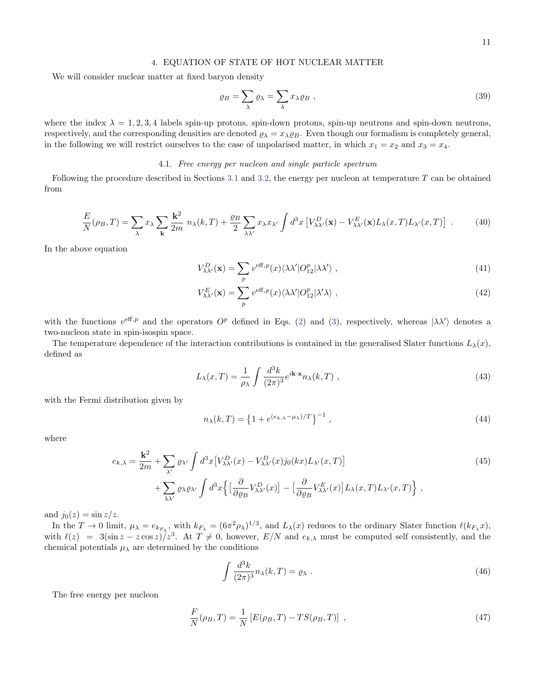<span id="page-10-0"></span>We will consider nuclear matter at fixed baryon density

$$
\varrho_B = \sum_{\lambda} \varrho_{\lambda} = \sum_{\lambda} x_{\lambda} \varrho_B , \qquad (39)
$$

where the index  $\lambda = 1, 2, 3, 4$  labels spin-up protons, spin-down protons, spin-up neutrons and spin-down neutrons, respectively, and the corresponding densities are denoted  $\varrho_{\lambda} = x_{\lambda} \varrho_{B}$ . Even though our formalism is completely general, in the following we will restrict ourselves to the case of unpolarised matter, in which  $x_1 = x_2$  and  $x_3 = x_4$ .

# 4.1. Free energy per nucleon and single particle spectrum

Following the procedure described in Sections [3.1](#page-7-5) and [3.2,](#page-8-6) the energy per nucleon at temperature T can be obtained from

$$
\frac{E}{N}(\rho_B, T) = \sum_{\lambda} x_{\lambda} \sum_{\mathbf{k}} \frac{\mathbf{k}^2}{2m} n_{\lambda}(k, T) + \frac{\rho_B}{2} \sum_{\lambda \lambda'} x_{\lambda} x_{\lambda'} \int d^3x \left[ V_{\lambda \lambda'}^D(\mathbf{x}) - V_{\lambda \lambda'}^E(\mathbf{x}) L_{\lambda}(x, T) L_{\lambda'}(x, T) \right] \ . \tag{40}
$$

In the above equation

<span id="page-10-1"></span>
$$
V_{\lambda\lambda'}^{D}(\mathbf{x}) = \sum_{p} v^{\text{eff},p}(x) \langle \lambda \lambda' | O_{12}^{p} | \lambda \lambda' \rangle , \qquad (41)
$$

$$
V_{\lambda\lambda'}^{E}(\mathbf{x}) = \sum_{p} v^{\text{eff},p}(x) \langle \lambda\lambda'|O_{12}^{p}|\lambda'\lambda\rangle , \qquad (42)
$$

with the functions  $v^{\text{eff},p}$  and the operators  $O^p$  defined in Eqs. [\(2\)](#page-2-1) and [\(3\)](#page-2-2), respectively, whereas  $|\lambda\lambda'\rangle$  denotes a two-nucleon state in spin-isospin space.

The temperature dependence of the interaction contributions is contained in the generalised Slater functions  $L_{\lambda}(x)$ , defined as

$$
L_{\lambda}(x,T) = \frac{1}{\rho_{\lambda}} \int \frac{d^3k}{(2\pi)^3} e^{i\mathbf{k}\cdot\mathbf{x}} n_{\lambda}(k,T) , \qquad (43)
$$

with the Fermi distribution given by

<span id="page-10-3"></span>
$$
n_{\lambda}(k,T) = \left\{ 1 + e^{(e_{k,\lambda} - \mu_{\lambda})/T} \right\}^{-1},\tag{44}
$$

where

$$
e_{k,\lambda} = \frac{\mathbf{k}^2}{2m} + \sum_{\lambda'} \varrho_{\lambda'} \int d^3x \left[ V_{\lambda\lambda'}^D(x) - V_{\lambda\lambda'}^D(x) j_0(kx) L_{\lambda'}(x, T) \right] + \sum_{\lambda\lambda'} \varrho_{\lambda} \varrho_{\lambda'} \int d^3x \left\{ \left[ \frac{\partial}{\partial \varrho_B} V_{\lambda\lambda'}^D(x) \right] - \left[ \frac{\partial}{\partial \varrho_B} V_{\lambda\lambda'}^E(x) \right] L_{\lambda}(x, T) L_{\lambda'}(x, T) \right\} ,
$$
(45)

and  $j_0(z) = \sin z/z$ .

In the  $T \to 0$  limit,  $\mu_{\lambda} = e_{k_{F_{\lambda}}}$ , with  $k_{F_{\lambda}} = (6\pi^2 \rho_{\lambda})^{1/3}$ , and  $L_{\lambda}(x)$  reduces to the ordinary Slater function  $\ell(k_{F_{\lambda}}x)$ , with  $\ell(z) = 3(\sin z - z \cos z)/z^3$ . At  $T \neq 0$ , however,  $E/N$  and  $e_{k,\lambda}$  must be computed self consistently, and the chemical potentials  $\mu_{\lambda}$  are determined by the conditions

<span id="page-10-4"></span><span id="page-10-2"></span>
$$
\int \frac{d^3k}{(2\pi)^3} n_\lambda(k,T) = \varrho_\lambda \ . \tag{46}
$$

The free energy per nucleon

$$
\frac{F}{N}(\rho_B, T) = \frac{1}{N} \left[ E(\rho_B, T) - TS(\rho_B, T) \right] \tag{47}
$$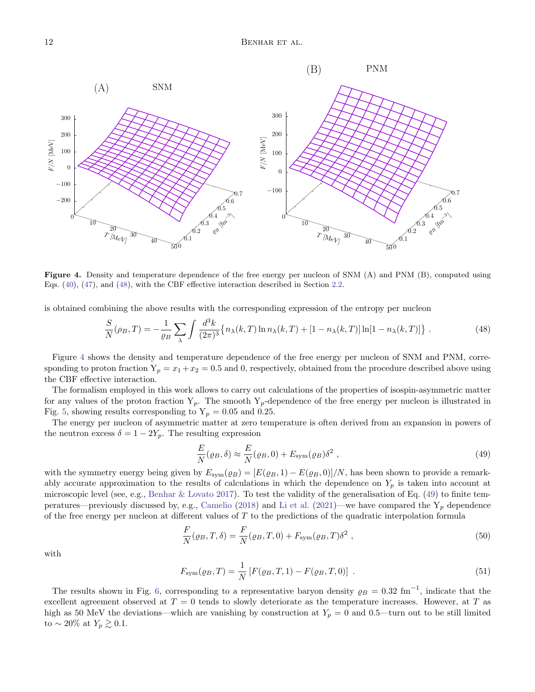

<span id="page-11-1"></span>Figure 4. Density and temperature dependence of the free energy per nucleon of SNM (A) and PNM (B), computed using Eqs. [\(40\)](#page-10-1), [\(47\)](#page-10-2), and [\(48\)](#page-11-0), with the CBF effective interaction described in Section [2.2.](#page-4-0)

is obtained combining the above results with the corresponding expression of the entropy per nucleon

$$
\frac{S}{N}(\rho_B, T) = -\frac{1}{\rho_B} \sum_{\lambda} \int \frac{d^3k}{(2\pi)^3} \{ n_\lambda(k, T) \ln n_\lambda(k, T) + [1 - n_\lambda(k, T)] \ln[1 - n_\lambda(k, T)] \} . \tag{48}
$$

Figure [4](#page-11-1) shows the density and temperature dependence of the free energy per nucleon of SNM and PNM, corresponding to proton fraction  $Y_p = x_1 + x_2 = 0.5$  and 0, respectively, obtained from the procedure described above using the CBF effective interaction.

The formalism employed in this work allows to carry out calculations of the properties of isospin-asymmetric matter for any values of the proton fraction  $Y_p$ . The smooth  $Y_p$ -dependence of the free energy per nucleon is illustrated in Fig. [5,](#page-12-0) showing results corresponding to  $Y_p = 0.05$  and 0.25.

The energy per nucleon of asymmetric matter at zero temperature is often derived from an expansion in powers of the neutron excess  $\delta = 1 - 2Y_p$ . The resulting expression

<span id="page-11-2"></span><span id="page-11-0"></span>
$$
\frac{E}{N}(\varrho_B, \delta) \approx \frac{E}{N}(\varrho_B, 0) + E_{\text{sym}}(\varrho_B) \delta^2 , \qquad (49)
$$

with the symmetry energy being given by  $E_{sym}(\rho_B) = [E(\rho_B, 1) - E(\rho_B, 0)]/N$ , has been shown to provide a remarkably accurate approximation to the results of calculations in which the dependence on  $Y_p$  is taken into account at microscopic level (see, e.g., [Benhar & Lovato](#page-18-22) [2017\)](#page-18-22). To test the validity of the generalisation of Eq. [\(49\)](#page-11-2) to finite tem-peratures—previously discussed by, e.g., [Camelio](#page-18-46) [\(2018\)](#page-18-46) and [Li et al.](#page-18-47) [\(2021\)](#page-18-47)—we have compared the  $Y_p$  dependence of the free energy per nucleon at different values of  $T$  to the predictions of the quadratic interpolation formula

$$
\frac{F}{N}(\varrho_B, T, \delta) = \frac{F}{N}(\varrho_B, T, 0) + F_{\text{sym}}(\varrho_B, T)\delta^2,
$$
\n(50)

with

$$
F_{\text{sym}}(\varrho_B, T) = \frac{1}{N} \left[ F(\varrho_B, T, 1) - F(\varrho_B, T, 0) \right] \tag{51}
$$

The results shown in Fig. [6,](#page-12-1) corresponding to a representative baryon density  $\rho_B = 0.32 \text{ fm}^{-1}$ , indicate that the excellent agreement observed at  $T = 0$  tends to slowly deteriorate as the temperature increases. However, at T as high as 50 MeV the deviations—which are vanishing by construction at  $Y_p = 0$  and 0.5—turn out to be still limited to ~ 20% at  $Y_p \gtrsim 0.1$ .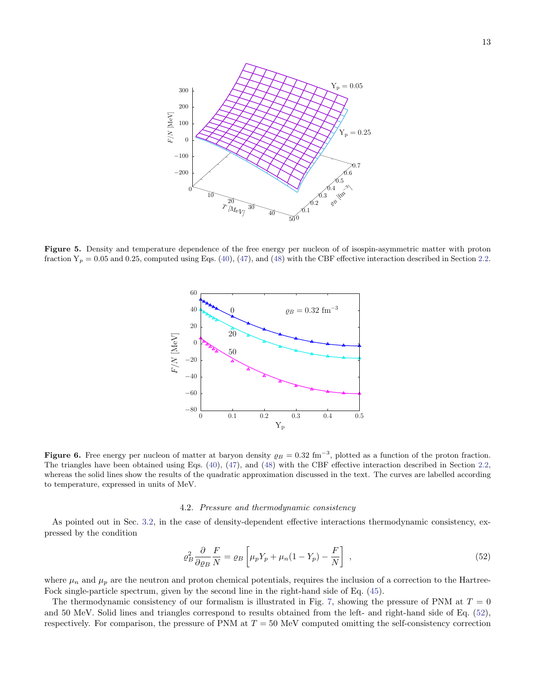

<span id="page-12-0"></span>Figure 5. Density and temperature dependence of the free energy per nucleon of of isospin-asymmetric matter with proton fraction  $Y_p = 0.05$  and 0.25, computed using Eqs. [\(40\)](#page-10-1), [\(47\)](#page-10-2), and [\(48\)](#page-11-0) with the CBF effective interaction described in Section [2.2.](#page-4-0)



<span id="page-12-1"></span>Figure 6. Free energy per nucleon of matter at baryon density  $\rho_B = 0.32 \text{ fm}^{-3}$ , plotted as a function of the proton fraction. The triangles have been obtained using Eqs. [\(40\)](#page-10-1), [\(47\)](#page-10-2), and [\(48\)](#page-11-0) with the CBF effective interaction described in Section [2.2,](#page-4-0) whereas the solid lines show the results of the quadratic approximation discussed in the text. The curves are labelled according to temperature, expressed in units of MeV.

### 4.2. Pressure and thermodynamic consistency

As pointed out in Sec. [3.2,](#page-8-6) in the case of density-dependent effective interactions thermodynamic consistency, expressed by the condition

<span id="page-12-2"></span>
$$
\varrho_B^2 \frac{\partial}{\partial \varrho_B} \frac{F}{N} = \varrho_B \left[ \mu_p Y_p + \mu_n (1 - Y_p) - \frac{F}{N} \right] \,, \tag{52}
$$

where  $\mu_n$  and  $\mu_p$  are the neutron and proton chemical potentials, requires the inclusion of a correction to the Hartree-Fock single-particle spectrum, given by the second line in the right-hand side of Eq. [\(45\)](#page-10-3).

The thermodynamic consistency of our formalism is illustrated in Fig. [7,](#page-13-0) showing the pressure of PNM at  $T = 0$ and 50 MeV. Solid lines and triangles correspond to results obtained from the left- and right-hand side of Eq. [\(52\)](#page-12-2), respectively. For comparison, the pressure of PNM at  $T = 50$  MeV computed omitting the self-consistency correction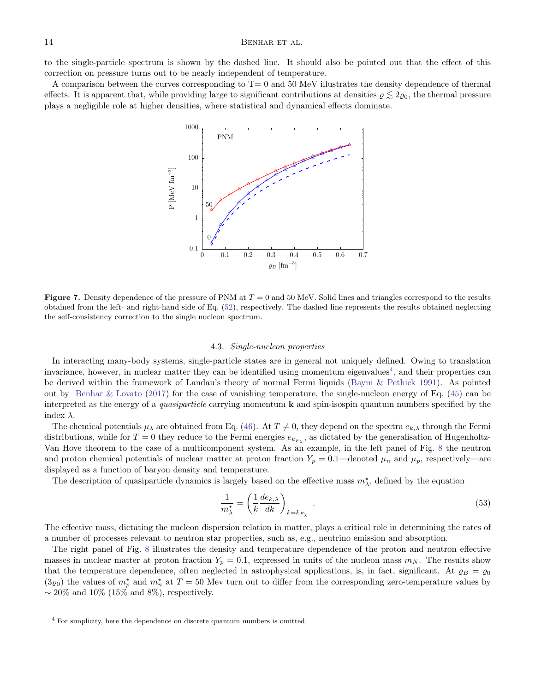# 14 BENHAR ET AL.

to the single-particle spectrum is shown by the dashed line. It should also be pointed out that the effect of this correction on pressure turns out to be nearly independent of temperature.

A comparison between the curves corresponding to  $T=0$  and 50 MeV illustrates the density dependence of thermal effects. It is apparent that, while providing large to significant contributions at densities  $\rho \lesssim 2\varrho_0$ , the thermal pressure plays a negligible role at higher densities, where statistical and dynamical effects dominate.



<span id="page-13-0"></span>Figure 7. Density dependence of the pressure of PNM at  $T = 0$  and 50 MeV. Solid lines and triangles correspond to the results obtained from the left- and right-hand side of Eq. [\(52\)](#page-12-2), respectively. The dashed line represents the results obtained neglecting the self-consistency correction to the single nucleon spectrum.

### 4.3. Single-nucleon properties

In interacting many-body systems, single-particle states are in general not uniquely defined. Owing to translation invariance, however, in nuclear matter they can be identified using momentum eigenvalues<sup>[4](#page-13-1)</sup>, and their properties can be derived within the framework of Landau's theory of normal Fermi liquids [\(Baym & Pethick](#page-18-48) [1991\)](#page-18-48). As pointed out by [Benhar & Lovato](#page-18-22) [\(2017\)](#page-18-22) for the case of vanishing temperature, the single-nucleon energy of Eq. [\(45\)](#page-10-3) can be interpreted as the energy of a *quasiparticle* carrying momentum  $\bf{k}$  and spin-isospin quantum numbers specified by the index  $\lambda$ .

The chemical potentials  $\mu_{\lambda}$  are obtained from Eq. [\(46\)](#page-10-4). At  $T \neq 0$ , they depend on the spectra  $e_{k,\lambda}$  through the Fermi distributions, while for  $T=0$  they reduce to the Fermi energies  $e_{k_{F_{\lambda}}}$ , as dictated by the generalisation of Hugenholtz-Van Hove theorem to the case of a multicomponent system. As an example, in the left panel of Fig. [8](#page-14-1) the neutron and proton chemical potentials of nuclear matter at proton fraction  $Y_p = 0.1$ —denoted  $\mu_n$  and  $\mu_p$ , respectively—are displayed as a function of baryon density and temperature.

The description of quasiparticle dynamics is largely based on the effective mass  $m^*_{\lambda}$ , defined by the equation

<span id="page-13-2"></span>
$$
\frac{1}{m_{\lambda}^{\star}} = \left(\frac{1}{k} \frac{de_{k,\lambda}}{dk}\right)_{k=k_{F_{\lambda}}}.
$$
\n(53)

The effective mass, dictating the nucleon dispersion relation in matter, plays a critical role in determining the rates of a number of processes relevant to neutron star properties, such as, e.g., neutrino emission and absorption.

The right panel of Fig. [8](#page-14-1) illustrates the density and temperature dependence of the proton and neutron effective masses in nuclear matter at proton fraction  $Y_p = 0.1$ , expressed in units of the nucleon mass  $m_N$ . The results show that the temperature dependence, often neglected in astrophysical applications, is, in fact, significant. At  $\varrho_B = \varrho_0$  $(3\varrho_0)$  the values of  $m_p^{\star}$  and  $m_n^{\star}$  at  $T = 50$  Mev turn out to differ from the corresponding zero-temperature values by  $\sim$  20% and 10% (15% and 8%), respectively.

<span id="page-13-1"></span><sup>4</sup> For simplicity, here the dependence on discrete quantum numbers is omitted.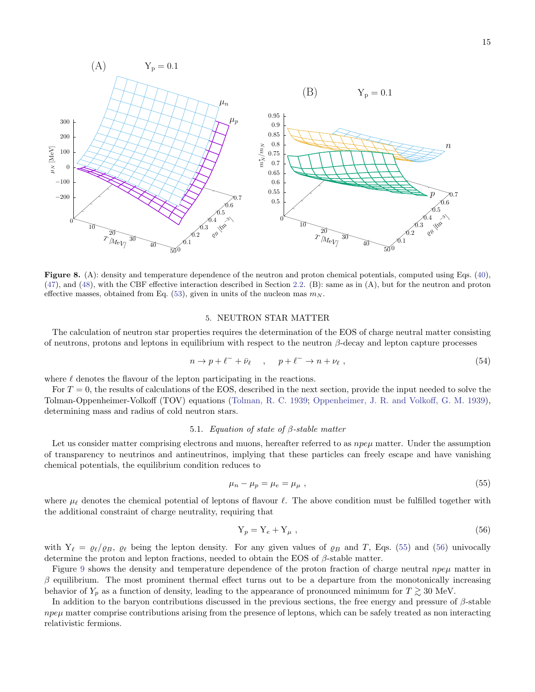

<span id="page-14-1"></span>Figure 8. (A): density and temperature dependence of the neutron and proton chemical potentials, computed using Eqs. [\(40\)](#page-10-1), [\(47\)](#page-10-2), and [\(48\)](#page-11-0), with the CBF effective interaction described in Section [2.2.](#page-4-0) (B): same as in (A), but for the neutron and proton effective masses, obtained from Eq. [\(53\)](#page-13-2), given in units of the nucleon mas  $m_N$ .

#### 5. NEUTRON STAR MATTER

<span id="page-14-0"></span>The calculation of neutron star properties requires the determination of the EOS of charge neutral matter consisting of neutrons, protons and leptons in equilibrium with respect to the neutron  $\beta$ -decay and lepton capture processes

$$
n \to p + \ell^- + \bar{\nu}_{\ell} \quad , \quad p + \ell^- \to n + \nu_{\ell} \; , \tag{54}
$$

where  $\ell$  denotes the flavour of the lepton participating in the reactions.

For  $T = 0$ , the results of calculations of the EOS, described in the next section, provide the input needed to solve the Tolman-Oppenheimer-Volkoff (TOV) equations [\(Tolman, R. C.](#page-19-16) [1939;](#page-19-16) [Oppenheimer, J. R. and Volkoff, G. M.](#page-19-17) [1939\)](#page-19-17), determining mass and radius of cold neutron stars.

# 5.1. Equation of state of β-stable matter

<span id="page-14-4"></span>Let us consider matter comprising electrons and muons, hereafter referred to as  $npe\mu$  matter. Under the assumption of transparency to neutrinos and antineutrinos, implying that these particles can freely escape and have vanishing chemical potentials, the equilibrium condition reduces to

$$
\mu_n - \mu_p = \mu_e = \mu_\mu \tag{55}
$$

where  $\mu_{\ell}$  denotes the chemical potential of leptons of flavour  $\ell$ . The above condition must be fulfilled together with the additional constraint of charge neutrality, requiring that

<span id="page-14-3"></span><span id="page-14-2"></span>
$$
Y_p = Y_e + Y_\mu \t{56}
$$

with  $Y_\ell = \varrho_\ell/\varrho_B$ ,  $\varrho_\ell$  being the lepton density. For any given values of  $\varrho_B$  and T, Eqs. [\(55\)](#page-14-2) and [\(56\)](#page-14-3) univocally determine the proton and lepton fractions, needed to obtain the EOS of  $\beta$ -stable matter.

Figure [9](#page-15-0) shows the density and temperature dependence of the proton fraction of charge neutral  $npe\mu$  matter in  $\beta$  equilibrium. The most prominent thermal effect turns out to be a departure from the monotonically increasing behavior of  $Y_p$  as a function of density, leading to the appearance of pronounced minimum for  $T \gtrsim 30$  MeV.

In addition to the baryon contributions discussed in the previous sections, the free energy and pressure of  $\beta$ -stable  $npe\mu$  matter comprise contributions arising from the presence of leptons, which can be safely treated as non interacting relativistic fermions.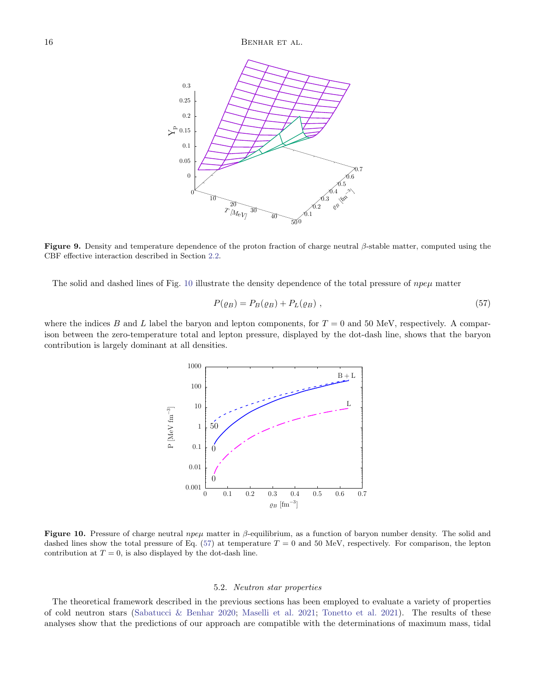

<span id="page-15-0"></span>**Figure 9.** Density and temperature dependence of the proton fraction of charge neutral  $\beta$ -stable matter, computed using the CBF effective interaction described in Section [2.2.](#page-4-0)

The solid and dashed lines of Fig. [10](#page-15-1) illustrate the density dependence of the total pressure of  $npe\mu$  matter

<span id="page-15-2"></span>
$$
P(\varrho_B) = P_B(\varrho_B) + P_L(\varrho_B) \tag{57}
$$

where the indices B and L label the baryon and lepton components, for  $T = 0$  and 50 MeV, respectively. A comparison between the zero-temperature total and lepton pressure, displayed by the dot-dash line, shows that the baryon contribution is largely dominant at all densities.



<span id="page-15-1"></span>Figure 10. Pressure of charge neutral  $npe\mu$  matter in  $\beta$ -equilibrium, as a function of baryon number density. The solid and dashed lines show the total pressure of Eq. [\(57\)](#page-15-2) at temperature  $T = 0$  and 50 MeV, respectively. For comparison, the lepton contribution at  $T = 0$ , is also displayed by the dot-dash line.

#### 5.2. Neutron star properties

The theoretical framework described in the previous sections has been employed to evaluate a variety of properties of cold neutron stars [\(Sabatucci & Benhar](#page-19-18) [2020;](#page-19-18) [Maselli et al.](#page-19-0) [2021;](#page-19-0) [Tonetto et al.](#page-19-19) [2021\)](#page-19-19). The results of these analyses show that the predictions of our approach are compatible with the determinations of maximum mass, tidal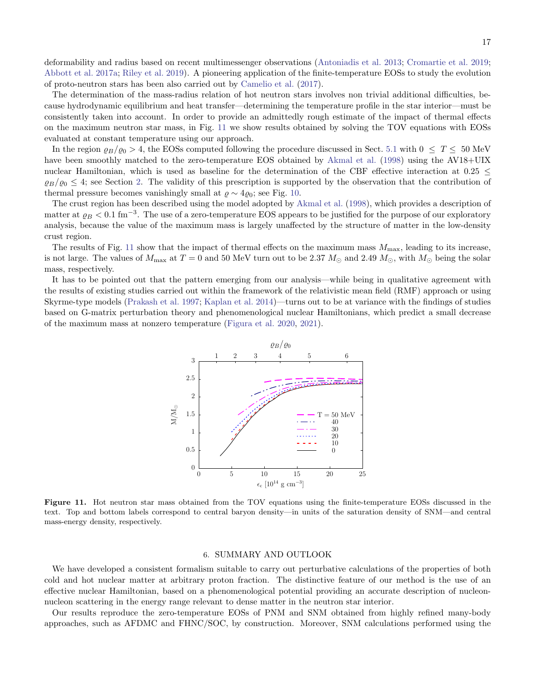deformability and radius based on recent multimessenger observations [\(Antoniadis et al.](#page-18-49) [2013;](#page-18-49) [Cromartie et al.](#page-18-50) [2019;](#page-18-50) [Abbott et al.](#page-18-0) [2017a;](#page-18-0) [Riley et al.](#page-19-20) [2019\)](#page-19-20). A pioneering application of the finite-temperature EOSs to study the evolution of proto-neutron stars has been also carried out by [Camelio et al.](#page-18-7) [\(2017\)](#page-18-7).

The determination of the mass-radius relation of hot neutron stars involves non trivial additional difficulties, because hydrodynamic equilibrium and heat transfer—determining the temperature profile in the star interior—must be consistently taken into account. In order to provide an admittedly rough estimate of the impact of thermal effects on the maximum neutron star mass, in Fig. [11](#page-16-1) we show results obtained by solving the TOV equations with EOSs evaluated at constant temperature using our approach.

In the region  $\varrho_B/\varrho_0 > 4$ , the EOSs computed following the procedure discussed in Sect. [5.1](#page-14-4) with  $0 \leq T \leq 50$  MeV have been smoothly matched to the zero-temperature EOS obtained by [Akmal et al.](#page-18-15) [\(1998\)](#page-18-15) using the AV18+UIX nuclear Hamiltonian, which is used as baseline for the determination of the CBF effective interaction at 0.25  $\leq$  $\varrho_B/\varrho_0 \leq 4$ ; see Section [2.](#page-1-0) The validity of this prescription is supported by the observation that the contribution of thermal pressure becomes vanishingly small at  $\varrho \sim 4\varrho_0$ ; see Fig. [10.](#page-15-1)

The crust region has been described using the model adopted by [Akmal et al.](#page-18-15) [\(1998\)](#page-18-15), which provides a description of matter at  $\varrho_B < 0.1$  fm<sup>-3</sup>. The use of a zero-temperature EOS appears to be justified for the purpose of our exploratory analysis, because the value of the maximum mass is largely unaffected by the structure of matter in the low-density crust region.

The results of Fig. [11](#page-16-1) show that the impact of thermal effects on the maximum mass  $M_{\text{max}}$ , leading to its increase, is not large. The values of  $M_{\text{max}}$  at  $T = 0$  and 50 MeV turn out to be 2.37  $M_{\odot}$  and 2.49  $M_{\odot}$ , with  $M_{\odot}$  being the solar mass, respectively.

It has to be pointed out that the pattern emerging from our analysis—while being in qualitative agreement with the results of existing studies carried out within the framework of the relativistic mean field (RMF) approach or using Skyrme-type models [\(Prakash et al.](#page-19-21) [1997;](#page-19-21) [Kaplan et al.](#page-18-51) [2014\)](#page-18-51)—turns out to be at variance with the findings of studies based on G-matrix perturbation theory and phenomenological nuclear Hamiltonians, which predict a small decrease of the maximum mass at nonzero temperature [\(Figura et al.](#page-18-8) [2020,](#page-18-8) [2021\)](#page-18-9).



<span id="page-16-1"></span>Figure 11. Hot neutron star mass obtained from the TOV equations using the finite-temperature EOSs discussed in the text. Top and bottom labels correspond to central baryon density—in units of the saturation density of SNM—and central mass-energy density, respectively.

### 6. SUMMARY AND OUTLOOK

<span id="page-16-0"></span>We have developed a consistent formalism suitable to carry out perturbative calculations of the properties of both cold and hot nuclear matter at arbitrary proton fraction. The distinctive feature of our method is the use of an effective nuclear Hamiltonian, based on a phenomenological potential providing an accurate description of nucleonnucleon scattering in the energy range relevant to dense matter in the neutron star interior.

Our results reproduce the zero-temperature EOSs of PNM and SNM obtained from highly refined many-body approaches, such as AFDMC and FHNC/SOC, by construction. Moreover, SNM calculations performed using the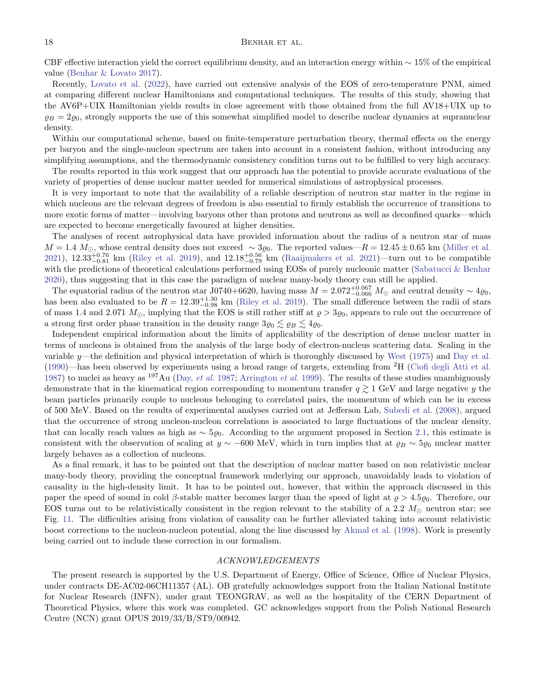### 18 BENHAR ET AL.

CBF effective interaction yield the correct equilibrium density, and an interaction energy within  $\sim$  15% of the empirical value [\(Benhar & Lovato](#page-18-22) [2017\)](#page-18-22).

Recently, [Lovato et al.](#page-19-22) [\(2022\)](#page-19-22), have carried out extensive analysis of the EOS of zero-temperature PNM, aimed at comparing different nuclear Hamiltonians and computational techniques. The results of this study, showing that the AV6P+UIX Hamiltonian yields results in close agreement with those obtained from the full AV18+UIX up to  $\rho_B = 2\rho_0$ , strongly supports the use of this somewhat simplified model to describe nuclear dynamics at supranuclear density.

Within our computational scheme, based on finite-temperature perturbation theory, thermal effects on the energy per baryon and the single-nucleon spectrum are taken into account in a consistent fashion, without introducing any simplifying assumptions, and the thermodynamic consistency condition turns out to be fulfilled to very high accuracy.

The results reported in this work suggest that our approach has the potential to provide accurate evaluations of the variety of properties of dense nuclear matter needed for numerical simulations of astrophysical processes.

It is very important to note that the availability of a reliable description of neutron star matter in the regime in which nucleons are the relevant degrees of freedom is also essential to firmly establish the occurrence of transitions to more exotic forms of matter—involving baryons other than protons and neutrons as well as deconfined quarks—which are expected to become energetically favoured at higher densities.

The analyses of recent astrophysical data have provided information about the radius of a neutron star of mass  $M = 1.4 M_{\odot}$ , whose central density does not exceed  $\sim 3\varrho_0$ . The reported values— $R = 12.45 \pm 0.65$  km [\(Miller et al.](#page-19-23) [2021\)](#page-19-24),  $12.33_{-0.81}^{+0.76}$  km [\(Riley et al.](#page-19-20) [2019\)](#page-19-20), and  $12.18_{-0.79}^{+0.56}$  km [\(Raaijmakers et al.](#page-19-24) 2021)—turn out to be compatible with the predictions of theoretical calculations performed using EOSs of purely nucleonic matter [\(Sabatucci & Benhar](#page-19-18) [2020\)](#page-19-18), thus suggesting that in this case the paradigm of nuclear many-body theory can still be applied.

The equatorial radius of the neutron star J0740+6620, having mass  $M = 2.072_{-0.066}^{+0.067} M_{\odot}$  and central density ∼  $4\varrho_0$ , has been also evaluated to be  $R = 12.39_{-0.98}^{+1.30}$  km [\(Riley et al.](#page-19-20) [2019\)](#page-19-20). The small difference between the radii of stars of mass 1.4 and 2.071  $M_{\odot}$ , implying that the EOS is still rather stiff at  $\rho > 3\rho_0$ , appears to rule out the occurrence of a strong first order phase transition in the density range  $3\varrho_0 \lesssim \varrho_B \lesssim 4\varrho_0$ .

Independent empirical information about the limits of applicability of the description of dense nuclear matter in terms of nucleons is obtained from the analysis of the large body of electron-nucleus scattering data. Scaling in the variable y—the definition and physical interpretation of which is thoroughly discussed by [West](#page-19-25) [\(1975\)](#page-19-25) and [Day et al.](#page-18-52) [\(1990\)](#page-18-52)—has been observed by experiments using a broad range of targets, extending from  ${}^{2}H$  [\(Ciofi degli Atti et al.](#page-18-53) [1987\)](#page-18-53) to nuclei as heavy as  $^{197}$ Au (Day, *[et al.](#page-18-54)* [1987;](#page-18-54) [Arrington](#page-18-55) *et al.* [1999\)](#page-18-55). The results of these studies unambiguously demonstrate that in the kinematical region corresponding to momentum transfer  $q \gtrsim 1$  GeV and large negative y the beam particles primarily couple to nucleons belonging to correlated pairs, the momentum of which can be in excess of 500 MeV. Based on the results of experimental analyses carried out at Jefferson Lab, [Subedi et al.](#page-19-26) [\(2008\)](#page-19-26), argued that the occurrence of strong nucleon-nucleon correlations is associated to large fluctuations of the nuclear density, that can locally reach values as high as  $\sim 5\varrho_0$ . According to the argument proposed in Section [2.1,](#page-2-6) this estimate is consistent with the observation of scaling at  $y \sim -600$  MeV, which in turn implies that at  $\varrho_B \sim 5\varrho_0$  nuclear matter largely behaves as a collection of nucleons.

As a final remark, it has to be pointed out that the description of nuclear matter based on non relativistic nuclear many-body theory, providing the conceptual framework underlying our approach, unavoidably leads to violation of causality in the high-density limit. It has to be pointed out, however, that within the approach discussed in this paper the speed of sound in cold β-stable matter becomes larger than the speed of light at  $\rho > 4.5\varrho_0$ . Therefore, our EOS turns out to be relativistically consistent in the region relevant to the stability of a 2.2  $M_{\odot}$  neutron star; see Fig. [11.](#page-16-1) The difficulties arising from violation of causality can be further alleviated taking into account relativistic boost corrections to the nucleon-nucleon potential, along the line discussed by [Akmal et al.](#page-18-15) [\(1998\)](#page-18-15). Work is presently being carried out to include these correction in our formalism.

#### ACKNOWLEDGEMENTS

The present research is supported by the U.S. Department of Energy, Office of Science, Office of Nuclear Physics, under contracts DE-AC02-06CH11357 (AL). OB gratefully acknowledges support from the Italian National Institute for Nuclear Research (INFN), under grant TEONGRAV, as well as the hospitality of the CERN Department of Theoretical Physics, where this work was completed. GC acknowledges support from the Polish National Research Centre (NCN) grant OPUS 2019/33/B/ST9/00942.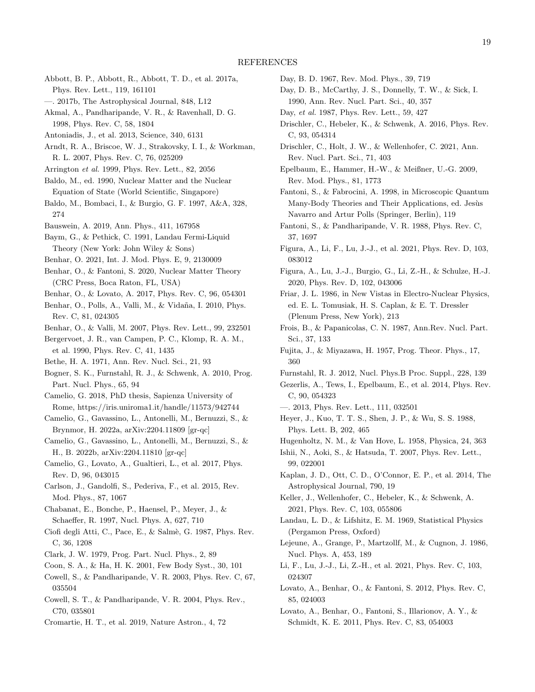- <span id="page-18-0"></span>Abbott, B. P., Abbott, R., Abbott, T. D., et al. 2017a, Phys. Rev. Lett., 119, 161101
- <span id="page-18-1"></span>—. 2017b, The Astrophysical Journal, 848, L12
- <span id="page-18-15"></span>Akmal, A., Pandharipande, V. R., & Ravenhall, D. G. 1998, Phys. Rev. C, 58, 1804
- <span id="page-18-49"></span>Antoniadis, J., et al. 2013, Science, 340, 6131
- <span id="page-18-24"></span>Arndt, R. A., Briscoe, W. J., Strakovsky, I. I., & Workman, R. L. 2007, Phys. Rev. C, 76, 025209
- <span id="page-18-55"></span>Arrington et al. 1999, Phys. Rev. Lett., 82, 2056
- <span id="page-18-11"></span>Baldo, M., ed. 1990, Nuclear Matter and the Nuclear Equation of State (World Scientific, Singapore)
- <span id="page-18-14"></span>Baldo, M., Bombaci, I., & Burgio, G. F. 1997, A&A, 328, 274
- <span id="page-18-2"></span>Bauswein, A. 2019, Ann. Phys., 411, 167958
- <span id="page-18-48"></span>Baym, G., & Pethick, C. 1991, Landau Fermi-Liquid Theory (New York: John Wiley & Sons)
- <span id="page-18-19"></span>Benhar, O. 2021, Int. J. Mod. Phys. E, 9, 2130009
- <span id="page-18-10"></span>Benhar, O., & Fantoni, S. 2020, Nuclear Matter Theory (CRC Press, Boca Raton, FL, USA)
- <span id="page-18-22"></span>Benhar, O., & Lovato, A. 2017, Phys. Rev. C, 96, 054301
- <span id="page-18-6"></span>Benhar, O., Polls, A., Valli, M., & Vidaña, I. 2010, Phys. Rev. C, 81, 024305
- <span id="page-18-23"></span><span id="page-18-3"></span>Benhar, O., & Valli, M. 2007, Phys. Rev. Lett., 99, 232501
- Bergervoet, J. R., van Campen, P. C., Klomp, R. A. M., et al. 1990, Phys. Rev. C, 41, 1435
- <span id="page-18-36"></span>Bethe, H. A. 1971, Ann. Rev. Nucl. Sci., 21, 93
- <span id="page-18-40"></span>Bogner, S. K., Furnstahl, R. J., & Schwenk, A. 2010, Prog. Part. Nucl. Phys., 65, 94
- <span id="page-18-46"></span>Camelio, G. 2018, PhD thesis, Sapienza University of Rome, https://iris.uniroma1.it/handle/11573/942744
- <span id="page-18-4"></span>Camelio, G., Gavassino, L., Antonelli, M., Bernuzzi, S., & Brynmor, H. 2022a, arXiv:2204.11809 [gr-qc]
- <span id="page-18-5"></span>Camelio, G., Gavassino, L., Antonelli, M., Bernuzzi, S., & H., B. 2022b, arXiv:2204.11810 [gr-qc]
- <span id="page-18-7"></span>Camelio, G., Lovato, A., Gualtieri, L., et al. 2017, Phys. Rev. D, 96, 043015
- <span id="page-18-29"></span>Carlson, J., Gandolfi, S., Pederiva, F., et al. 2015, Rev. Mod. Phys., 87, 1067
- <span id="page-18-20"></span>Chabanat, E., Bonche, P., Haensel, P., Meyer, J., & Schaeffer, R. 1997, Nucl. Phys. A, 627, 710
- <span id="page-18-53"></span>Ciofi degli Atti, C., Pace, E., & Salmè, G. 1987, Phys. Rev. C, 36, 1208
- <span id="page-18-27"></span><span id="page-18-12"></span>Clark, J. W. 1979, Prog. Part. Nucl. Phys., 2, 89
- Coon, S. A., & Ha, H. K. 2001, Few Body Syst., 30, 101
- <span id="page-18-38"></span>Cowell, S., & Pandharipande, V. R. 2003, Phys. Rev. C, 67, 035504
- <span id="page-18-39"></span>Cowell, S. T., & Pandharipande, V. R. 2004, Phys. Rev., C70, 035801
- <span id="page-18-50"></span>Cromartie, H. T., et al. 2019, Nature Astron., 4, 72
- <span id="page-18-35"></span>Day, B. D. 1967, Rev. Mod. Phys., 39, 719
- <span id="page-18-52"></span>Day, D. B., McCarthy, J. S., Donnelly, T. W., & Sick, I. 1990, Ann. Rev. Nucl. Part. Sci., 40, 357
- <span id="page-18-54"></span>Day, et al. 1987, Phys. Rev. Lett., 59, 427
- <span id="page-18-16"></span>Drischler, C., Hebeler, K., & Schwenk, A. 2016, Phys. Rev. C, 93, 054314
- <span id="page-18-18"></span>Drischler, C., Holt, J. W., & Wellenhofer, C. 2021, Ann. Rev. Nucl. Part. Sci., 71, 403
- <span id="page-18-30"></span>Epelbaum, E., Hammer, H.-W., & Meißner, U.-G. 2009, Rev. Mod. Phys., 81, 1773
- <span id="page-18-37"></span>Fantoni, S., & Fabrocini, A. 1998, in Microscopic Quantum Many-Body Theories and Their Applications, ed. Jesùs Navarro and Artur Polls (Springer, Berlin), 119
- <span id="page-18-13"></span>Fantoni, S., & Pandharipande, V. R. 1988, Phys. Rev. C, 37, 1697
- <span id="page-18-9"></span>Figura, A., Li, F., Lu, J.-J., et al. 2021, Phys. Rev. D, 103, 083012
- <span id="page-18-8"></span>Figura, A., Lu, J.-J., Burgio, G., Li, Z.-H., & Schulze, H.-J. 2020, Phys. Rev. D, 102, 043006
- <span id="page-18-25"></span>Friar, J. L. 1986, in New Vistas in Electro-Nuclear Physics, ed. E. L. Tomusiak, H. S. Caplan, & E. T. Dressler (Plenum Press, New York), 213
- <span id="page-18-33"></span>Frois, B., & Papanicolas, C. N. 1987, Ann.Rev. Nucl. Part. Sci., 37, 133
- <span id="page-18-26"></span>Fujita, J., & Miyazawa, H. 1957, Prog. Theor. Phys., 17, 360
- <span id="page-18-41"></span><span id="page-18-32"></span>Furnstahl, R. J. 2012, Nucl. Phys.B Proc. Suppl., 228, 139
- Gezerlis, A., Tews, I., Epelbaum, E., et al. 2014, Phys. Rev. C, 90, 054323
- <span id="page-18-31"></span>—. 2013, Phys. Rev. Lett., 111, 032501
- <span id="page-18-45"></span>Heyer, J., Kuo, T. T. S., Shen, J. P., & Wu, S. S. 1988, Phys. Lett. B, 202, 465
- <span id="page-18-43"></span>Hugenholtz, N. M., & Van Hove, L. 1958, Physica, 24, 363
- <span id="page-18-34"></span>Ishii, N., Aoki, S., & Hatsuda, T. 2007, Phys. Rev. Lett., 99, 022001
- <span id="page-18-51"></span>Kaplan, J. D., Ott, C. D., O'Connor, E. P., et al. 2014, The Astrophysical Journal, 790, 19
- <span id="page-18-17"></span>Keller, J., Wellenhofer, C., Hebeler, K., & Schwenk, A. 2021, Phys. Rev. C, 103, 055806
- <span id="page-18-42"></span>Landau, L. D., & Lifshitz, E. M. 1969, Statistical Physics (Pergamon Press, Oxford)
- <span id="page-18-44"></span>Lejeune, A., Grange, P., Martzollf, M., & Cugnon, J. 1986, Nucl. Phys. A, 453, 189
- <span id="page-18-47"></span>Li, F., Lu, J.-J., Li, Z.-H., et al. 2021, Phys. Rev. C, 103, 024307
- <span id="page-18-28"></span>Lovato, A., Benhar, O., & Fantoni, S. 2012, Phys. Rev. C, 85, 024003
- <span id="page-18-21"></span>Lovato, A., Benhar, O., Fantoni, S., Illarionov, A. Y., & Schmidt, K. E. 2011, Phys. Rev. C, 83, 054003